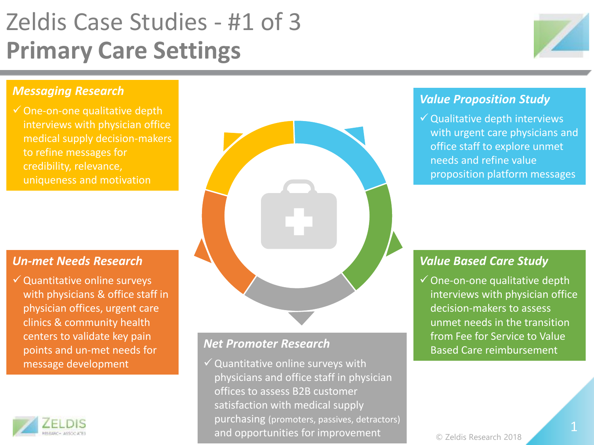# Zeldis Case Studies - #1 of 3 **Primary Care Settings**



## *Messaging Research*

 $\checkmark$  One-on-one qualitative depth interviews with physician office medical supply decision-makers to refine messages for credibility, relevance, uniqueness and motivation

### *Un-met Needs Research*

 $\checkmark$  Quantitative online surveys with physicians & office staff in physician offices, urgent care clinics & community health centers to validate key pain points and un-met needs for message development





# *Net Promoter Research*

 $\checkmark$  Quantitative online surveys with physicians and office staff in physician offices to assess B2B customer satisfaction with medical supply purchasing (promoters, passives, detractors) and opportunities for improvement

# *Value Proposition Study*

 $\checkmark$  Qualitative depth interviews with urgent care physicians and office staff to explore unmet needs and refine value proposition platform messages

## *Value Based Care Study*

One-on-one qualitative depth interviews with physician office decision-makers to assess unmet needs in the transition from Fee for Service to Value Based Care reimbursement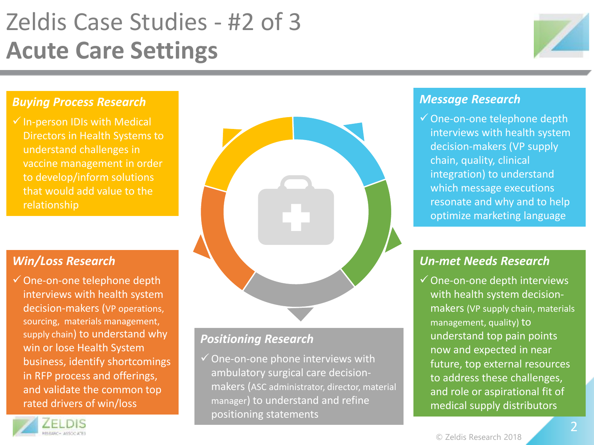# Zeldis Case Studies - #2 of 3 **Acute Care Settings**



### *Buying Process Research*

 $\checkmark$  In-person IDIs with Medical Directors in Health Systems to understand challenges in vaccine management in order to develop/inform solutions that would add value to the relationship

# *Win/Loss Research*

One-on-one telephone depth interviews with health system decision-makers (VP operations, sourcing, materials management, supply chain) to understand why win or lose Health System business, identify shortcomings in RFP process and offerings, and validate the common top rated drivers of win/loss



# *Positioning Research*

 $\checkmark$  One-on-one phone interviews with ambulatory surgical care decisionmakers (ASC administrator, director, material manager) to understand and refine positioning statements

## *Message Research*

One-on-one telephone depth interviews with health system decision-makers (VP supply chain, quality, clinical integration) to understand which message executions resonate and why and to help optimize marketing language

# *Un-met Needs Research*

 $\checkmark$  One-on-one depth interviews with health system decisionmakers (VP supply chain, materials management, quality) to understand top pain points now and expected in near future, top external resources to address these challenges, and role or aspirational fit of medical supply distributors